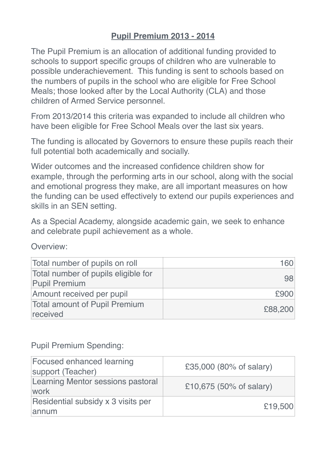# **Pupil Premium 2013 - 2014**

The Pupil Premium is an allocation of additional funding provided to schools to support specific groups of children who are vulnerable to possible underachievement. This funding is sent to schools based on the numbers of pupils in the school who are eligible for Free School Meals; those looked after by the Local Authority (CLA) and those children of Armed Service personnel.

From 2013/2014 this criteria was expanded to include all children who have been eligible for Free School Meals over the last six years.

The funding is allocated by Governors to ensure these pupils reach their full potential both academically and socially.

Wider outcomes and the increased confidence children show for example, through the performing arts in our school, along with the social and emotional progress they make, are all important measures on how the funding can be used effectively to extend our pupils experiences and skills in an SEN setting.

As a Special Academy, alongside academic gain, we seek to enhance and celebrate pupil achievement as a whole.

Overview:

| Total number of pupils on roll                              | 160     |
|-------------------------------------------------------------|---------|
| Total number of pupils eligible for<br><b>Pupil Premium</b> | 98      |
| Amount received per pupil                                   | £900    |
| <b>Total amount of Pupil Premium</b><br>received            | £88,200 |

### Pupil Premium Spending:

| Focused enhanced learning<br>support (Teacher) | £35,000 (80% of salary) |
|------------------------------------------------|-------------------------|
| Learning Mentor sessions pastoral<br>work      | £10,675 (50% of salary) |
| Residential subsidy x 3 visits per<br>annum    | £19,500                 |